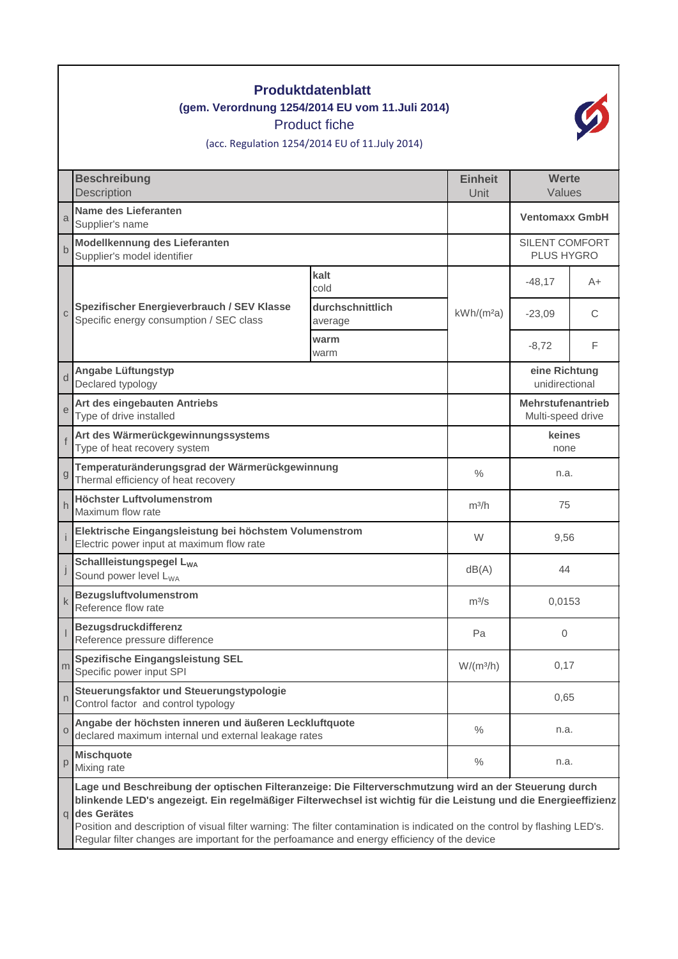| <b>Produktdatenblatt</b><br>(gem. Verordnung 1254/2014 EU vom 11. Juli 2014)<br><b>Product fiche</b><br>(acc. Regulation 1254/2014 EU of 11.July 2014) |                                                                                                                                                                                                                                                                                                                                                                             |                             |                              |                                               |    |  |  |  |  |
|--------------------------------------------------------------------------------------------------------------------------------------------------------|-----------------------------------------------------------------------------------------------------------------------------------------------------------------------------------------------------------------------------------------------------------------------------------------------------------------------------------------------------------------------------|-----------------------------|------------------------------|-----------------------------------------------|----|--|--|--|--|
|                                                                                                                                                        | <b>Beschreibung</b><br>Description                                                                                                                                                                                                                                                                                                                                          |                             | <b>Einheit</b><br>Unit       | Werte<br>Values                               |    |  |  |  |  |
| a                                                                                                                                                      | <b>Name des Lieferanten</b><br>Supplier's name                                                                                                                                                                                                                                                                                                                              |                             |                              | <b>Ventomaxx GmbH</b>                         |    |  |  |  |  |
|                                                                                                                                                        | Modellkennung des Lieferanten<br>Supplier's model identifier                                                                                                                                                                                                                                                                                                                |                             | SILENT COMFORT<br>PLUS HYGRO |                                               |    |  |  |  |  |
|                                                                                                                                                        | Spezifischer Energieverbrauch / SEV Klasse<br>Specific energy consumption / SEC class                                                                                                                                                                                                                                                                                       | kalt<br>cold                | $kWh/(m^2a)$                 | $-48,17$                                      | A+ |  |  |  |  |
| $\overline{C}$                                                                                                                                         |                                                                                                                                                                                                                                                                                                                                                                             | durchschnittlich<br>average |                              | $-23,09$                                      | C  |  |  |  |  |
|                                                                                                                                                        |                                                                                                                                                                                                                                                                                                                                                                             | warm<br>warm                |                              | $-8,72$                                       | F  |  |  |  |  |
|                                                                                                                                                        | <b>Angabe Lüftungstyp</b><br>Declared typology                                                                                                                                                                                                                                                                                                                              |                             |                              | eine Richtung<br>unidirectional               |    |  |  |  |  |
| e                                                                                                                                                      | Art des eingebauten Antriebs<br>Type of drive installed                                                                                                                                                                                                                                                                                                                     |                             |                              | <b>Mehrstufenantrieb</b><br>Multi-speed drive |    |  |  |  |  |
|                                                                                                                                                        | Art des Wärmerückgewinnungssystems<br>Type of heat recovery system                                                                                                                                                                                                                                                                                                          |                             |                              | keines<br>none                                |    |  |  |  |  |
| g                                                                                                                                                      | Temperaturänderungsgrad der Wärmerückgewinnung<br>Thermal efficiency of heat recovery                                                                                                                                                                                                                                                                                       |                             | $\frac{0}{0}$                | n.a.                                          |    |  |  |  |  |
| h                                                                                                                                                      | Höchster Luftvolumenstrom<br>Maximum flow rate                                                                                                                                                                                                                                                                                                                              |                             | $m^3/h$                      | 75                                            |    |  |  |  |  |
|                                                                                                                                                        | Elektrische Eingangsleistung bei höchstem Volumenstrom<br>Electric power input at maximum flow rate                                                                                                                                                                                                                                                                         |                             | W                            | 9,56                                          |    |  |  |  |  |
|                                                                                                                                                        | Schallleistungspegel L <sub>WA</sub><br>Sound power level L <sub>WA</sub>                                                                                                                                                                                                                                                                                                   |                             | dB(A)                        | 44                                            |    |  |  |  |  |
| k                                                                                                                                                      | <b>Bezugsluftvolumenstrom</b><br>Reference flow rate                                                                                                                                                                                                                                                                                                                        |                             | $m^3/s$                      | 0,0153                                        |    |  |  |  |  |
|                                                                                                                                                        | <b>Bezugsdruckdifferenz</b><br>Reference pressure difference                                                                                                                                                                                                                                                                                                                |                             | Pa                           | $\mathbf{0}$                                  |    |  |  |  |  |
| m                                                                                                                                                      | <b>Spezifische Eingangsleistung SEL</b><br>Specific power input SPI                                                                                                                                                                                                                                                                                                         |                             | $W/(m^3/h)$                  | 0,17                                          |    |  |  |  |  |
| n                                                                                                                                                      | Steuerungsfaktor und Steuerungstypologie<br>Control factor and control typology                                                                                                                                                                                                                                                                                             |                             |                              | 0,65                                          |    |  |  |  |  |
| $\Omega$                                                                                                                                               | Angabe der höchsten inneren und äußeren Leckluftquote<br>declared maximum internal und external leakage rates                                                                                                                                                                                                                                                               |                             | $\%$                         | n.a.                                          |    |  |  |  |  |
| p                                                                                                                                                      | <b>Mischquote</b><br>Mixing rate                                                                                                                                                                                                                                                                                                                                            |                             | $\%$                         | n.a.                                          |    |  |  |  |  |
|                                                                                                                                                        | Lage und Beschreibung der optischen Filteranzeige: Die Filterverschmutzung wird an der Steuerung durch<br>blinkende LED's angezeigt. Ein regelmäßiger Filterwechsel ist wichtig für die Leistung und die Energieeffizienz<br>des Gerätes<br>q<br>Position and description of visual filter warning: The filter contamination is indicated on the control by flashing LED's. |                             |                              |                                               |    |  |  |  |  |

Regular filter changes are important for the perfoamance and energy efficiency of the device

ı